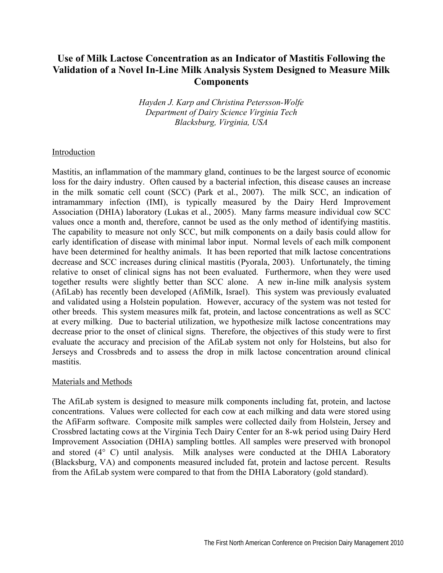# **Use of Milk Lactose Concentration as an Indicator of Mastitis Following the Validation of a Novel In-Line Milk Analysis System Designed to Measure Milk Components**

*Hayden J. Karp and Christina Petersson-Wolfe Department of Dairy Science Virginia Tech Blacksburg, Virginia, USA* 

#### Introduction

Mastitis, an inflammation of the mammary gland, continues to be the largest source of economic loss for the dairy industry. Often caused by a bacterial infection, this disease causes an increase in the milk somatic cell count (SCC) (Park et al., 2007). The milk SCC, an indication of intramammary infection (IMI), is typically measured by the Dairy Herd Improvement Association (DHIA) laboratory (Lukas et al., 2005). Many farms measure individual cow SCC values once a month and, therefore, cannot be used as the only method of identifying mastitis. The capability to measure not only SCC, but milk components on a daily basis could allow for early identification of disease with minimal labor input. Normal levels of each milk component have been determined for healthy animals. It has been reported that milk lactose concentrations decrease and SCC increases during clinical mastitis (Pyorala, 2003). Unfortunately, the timing relative to onset of clinical signs has not been evaluated. Furthermore, when they were used together results were slightly better than SCC alone. A new in-line milk analysis system (AfiLab) has recently been developed (AfiMilk, Israel). This system was previously evaluated and validated using a Holstein population. However, accuracy of the system was not tested for other breeds. This system measures milk fat, protein, and lactose concentrations as well as SCC at every milking. Due to bacterial utilization, we hypothesize milk lactose concentrations may decrease prior to the onset of clinical signs. Therefore, the objectives of this study were to first evaluate the accuracy and precision of the AfiLab system not only for Holsteins, but also for Jerseys and Crossbreds and to assess the drop in milk lactose concentration around clinical mastitis.

#### Materials and Methods

The AfiLab system is designed to measure milk components including fat, protein, and lactose concentrations. Values were collected for each cow at each milking and data were stored using the AfiFarm software. Composite milk samples were collected daily from Holstein, Jersey and Crossbred lactating cows at the Virginia Tech Dairy Center for an 8-wk period using Dairy Herd Improvement Association (DHIA) sampling bottles. All samples were preserved with bronopol and stored (4° C) until analysis. Milk analyses were conducted at the DHIA Laboratory (Blacksburg, VA) and components measured included fat, protein and lactose percent. Results from the AfiLab system were compared to that from the DHIA Laboratory (gold standard).